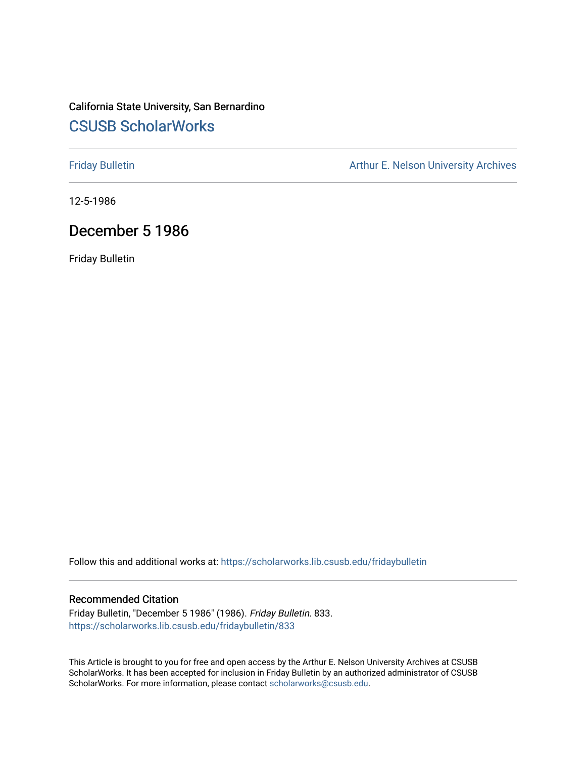# California State University, San Bernardino [CSUSB ScholarWorks](https://scholarworks.lib.csusb.edu/)

[Friday Bulletin](https://scholarworks.lib.csusb.edu/fridaybulletin) **Arthur E. Nelson University Archives** Arthur E. Nelson University Archives

12-5-1986

# December 5 1986

Friday Bulletin

Follow this and additional works at: [https://scholarworks.lib.csusb.edu/fridaybulletin](https://scholarworks.lib.csusb.edu/fridaybulletin?utm_source=scholarworks.lib.csusb.edu%2Ffridaybulletin%2F833&utm_medium=PDF&utm_campaign=PDFCoverPages)

# Recommended Citation

Friday Bulletin, "December 5 1986" (1986). Friday Bulletin. 833. [https://scholarworks.lib.csusb.edu/fridaybulletin/833](https://scholarworks.lib.csusb.edu/fridaybulletin/833?utm_source=scholarworks.lib.csusb.edu%2Ffridaybulletin%2F833&utm_medium=PDF&utm_campaign=PDFCoverPages)

This Article is brought to you for free and open access by the Arthur E. Nelson University Archives at CSUSB ScholarWorks. It has been accepted for inclusion in Friday Bulletin by an authorized administrator of CSUSB ScholarWorks. For more information, please contact [scholarworks@csusb.edu.](mailto:scholarworks@csusb.edu)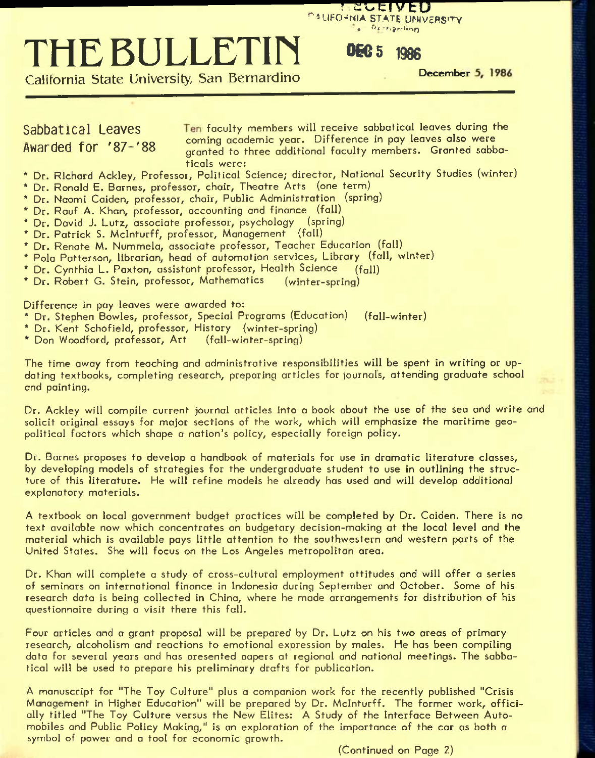# **Europroling**

'" •-LIHO-'MIA STATE UTMVESS'TY

# EXAMPLE BULLETIN DECENTE UNIVERSITY<br>California State University, San Bernardino<br>Sabbattical Leaves Ten faculty members will receive sabbatical leaves coming academic vear. Difference in pay leaves also THE BULLETIN **DEC** 5 1986

**California State University, San Bernardino** 

Sabbatical Leaves **Faculty members will receive sabbatical leaves during the** Suppose the term of the coming academic year. Difference in pay leaves also were<br>Awarded for '87-'88 commissional to three additional faculty members. Granted sabb aranted to three additional faculty members. Granted sabbaticals were:

- \* Dr. Richard Ackley, Professor, Political Science; director. National Security Studies (winter)
- \* Dr. Ronald E. Barnes, professor, chair. Theatre Arts (one term)
- \* Dr. Naomi Caiden, professor, chair. Public Administration (spring)
- \* Dr. Rauf A. Khan, professor, accounting and finance (fall)
- \* Dr. David J. Lutz, associate professor, psychology (spring)
- \* Dr. Patrick S. Mclnturff, professor. Management (fall)
- \* Dr. Renate M. Nummela, associate professor. Teacher Education (fall)
- \* Polo Patterson, librarian, head of automation services. Library (fall, winter)
- \* Dr. Cynthia L. Paxton, assistant professor. Health Science (fall)
- \* Dr. Robert G. Stein, professor. Mathematics (winter-spring)

Difference in pay leaves were awarded to:

- \* Dr. Stephen Bowles, professor. Special Programs (Education) (fall-winter)
- \* Dr. Kent Schofield, professor. History (winter-spring)
- \* Don Woodford, professor. Art (fall-winter-spring)

The time away from teaching and administrative responsibilities will be spent in writing or updating textbooks, completing research, preparing articles for iournals, attending graduate school and painting.

Dr. Ackley will compile current journal articles into a book about the use of the sea and write and solicit original essays for major sections of the work, which will emphasize the maritime geopolitical factors which shape a nation's policy, especially foreign policy.

Dr. Barnes proposes to develop a handbook of materials for use in dramatic literature classes, by developing models of strategies for the undergraduate student to use in outlining the structure of this literature. He will refine models he already has used and will develop additional explanatory materials.

A textbook on local government budget practices will be completed by Dr. Caiden. There is no text available now which concentrates on budgetary decision-making at the local level and the material which is available pays little attention to the southwestern and western parts of the United States. She will focus on the Los Angeles metropolitan area.

Dr. Khan will complete a study of cross-cultural employment attitudes and will offer a series of seminars on international finance in Indonesia during September and October. Some of his research data is being collected in China, where he made arrangements for distribution of his questionnaire during a visit there this fall.

Four articles and a grant proposal will be prepared by Dr. Lutz on his two areas of primary research, alcoholism and reactions to emotional expression by males. He has been compiling data for several years and has presented papers at regional and national meetings. The sabbatical will be used to prepare his preliminary drafts for publication.

A manuscript for "The Toy Culture" plus a companion work for the recently published "Crisis Management in Higher Education" will be prepared by Dr. Mclnturff. The former work, officially titled "The Toy Culture versus the New Elites: A Study of the Interface Between Automobiles and Public Policy Making," is an exploration of the importance of the car as both a symbol of power and a tool for economic growth.

(Continued on Page 2)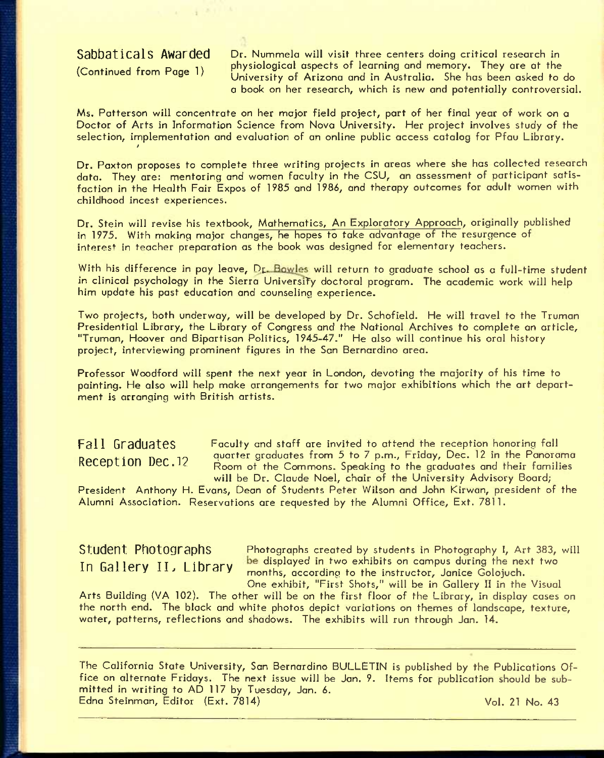# **Sabbaticals Awarded**

(Continued from Page 1)

Dr. Nummela will visit three centers doing critical research in physiological aspects of learning and memory. They are at the University of Arizona and in Australia. She has been asked to do a book on her research, which is new and potentially controversial.

Ms. Patterson will concentrate on her major field project, part of her final year of work on a Doctor of Arts in Information Science from Nova University. Her project involves study of the selection, implementation and evaluation of an online public access catalog for Pfau Library. /

Dr. Paxton proposes to complete three writing projects in areas where she has collected research data. They are: mentoring and women faculty in the CSU, an assessment of participant satisfaction in the Health Fair Expos of 1985 and 1986, and therapy outcomes for adult women with childhood incest experiences.

Dr. Stein will revise his textbook. Mathematics, An Exploratory Approach, originally published in 1975. With making major changes, he hopes to take advantage of the resurgence of interest in teacher preparation as the book was designed for elementary teachers.

With his difference in pay leave, Dr. Bowles will return to graduate school as a full-time student in clinical psychology in the Sierra University doctoral program. The academic work will help him update his past education and counseling experience.

Two projects, both underway, will be developed by Dr. Schofield. He will travel to the Truman Presidential Library, the Library of Congress and the National Archives to complete an article, "Truman, Hoover and Bipartisan Politics, 1945-47." He also will continue his oral history project, interviewing prominent figures in the San Bernardino area.

Professor Woodford will spent the next year in London, devoting the majority of his time to painting. He also will help make arrangements for two major exhibitions which the art department is arranging with British artists.

**Fall Graduates** Faculty and staff are invited to attend the reception honoring fall Reception Dec. 12 quarter graduates from 5 to 7 p.m., Friday, Dec. 12 in the Panorama Room of the Commons. Speaking to the graduates and their families will be Dr. Claude Noel, chair of the University Advisory Board;

President Anthony H. Evans, Dean of Students Peter Wilson and John Kirwan, president of the Alumni Association. Reservations are requested by the Alumni Office, Ext. 7811.

Student Photographs Photographs created by students in Photography I, Art 383, will In Gallery II, Library be displayed in two exhibits on campus during the next two **in bauery ll. Liorary** months, according to the instructor, Janice Colojuch. One exhibit, "First Shots," will be in Gallery 11 in the Visual

Arts Building (VA 102). The other will be on the first floor of the Library, in display cases on the north end. The black and white photos depict variations on themes of landscape, texture, water, patterns, reflections and shadows. The exhibits will run through Jan. 14.

The California State University, San Bernardino BULLETIN is published by the Publications Office on alternate Fridays. The next issue will be Jan. 9. Items for publication should be submitted in writing to AD 117 by Tuesday, Jan. 6. Edna Steinman, Editor (Ext. 7814) Contract Contract Contract Contract Vol. 21 No. 43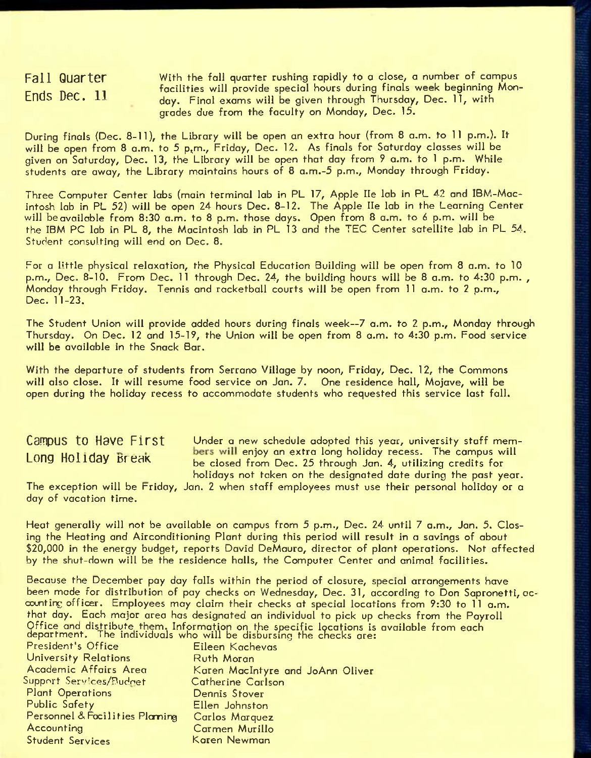**Fall Quarter Ends Dec. 11** 

With the fall quarter rushing rapidly to *a* close, a number of campus facilities will provide special hours during finals week beginning Monday. Final exams will be given through Thursday, Dec. 11, with grades due from the faculty on Monday, Dec. 15.

During finals {Dec. 8-11), the Library will be open an extra hour (from 8 a.m. to 11 p.m.). It will be open from 8 a.m. to 5 p.m., Friday, Dec. 12. As finals for Saturday classes will be given on Saturday, Dec. 13, the Library will be open that day from 9 a.m. to 1 p.m. While students ore away, the Library maintains hours of 8 a.m.-5 p.m., Monday through Friday.

Three Computer Center labs (main terminal lab in PL 17, Apple He lab in PL 42 and IBM-Macintosh lab in PL 52) will be open 24 hours Dec. 8-12. The Apple He lab in the Learning Center will be available from 8:30 a.m. to 8 p.m. those days. Open from 8 a.m. to 6 p.m. will be the IBM PC lab in PL 8, the Macintosh lab in PL 13 and the TEC Center satellite lab in PL 54. Student consulting will end on Dec. 8.

For a little physical relaxation, the Physical Education Building will be open from 8 a.m. to 10 p.m., Dec. 8-10. From Dec. 11 through Dec. 24, the building hours will be 8 a.m. to 4:30 p.m. , Monday through Friday. Tennis and racketball courts will be open from 11 a.m. to 2 p.m., Dec. 11-23.

The Student Union will provide added hours during finals week~7 a.m. to 2 p.m., Monday through Thursday. On Dec. 12 and 15-19, the Union will be open from 8 a.m. to 4:30 p.m. Food service will be available in the Snack Bar.

With the departure of students from Serrano Village by noon, Friday, Dec. 12, the Commons will also close. It will resume food service on Jan. 7. One residence hall, Mojave, will be open during the holiday recess to accommodate students who requested this service last fall.

**Campus to Have First** Under a new schedule adopted this year, university staff mem-**Innum II** Innum Long Holiday Break **best will enjoy an extra long holiday recess.** The campus will be closed from Dec. 25 through Jan. 4, utilizing credits for holidays not taken on the designated date during the past year.

The exception will be Friday, Jan. 2 when staff employees must use their personal holiday or a day of vacation time.

Heat generally will not be available on campus from 5 p.m., Dec. 24 until 7 a.m., Jan. 5. Closing the Heating and Airconditioning Plant during this period will result in *a* savings of about \$20,000 in the energy budget, reports David DeMauro, director of plant operations. Not affected by the shut-down will be the residence halls, the Computer Center and animal facilities.

Because the December pay day falls within the period of closure, special arrangements have been mode for distribution of pay checks on Wednesday, Dec. 31, according to Don Sapronetti, accounting officer. Employees may claim their checks at special locations from 9:30 to 11 a.m. that day. Each major area has designated an individual to pick up checks from the Payroll Office and distribute them. Information on the specific locations is available from each department. The individuals who will be disbursing the checks are:

| President's Office             | Eileen Kachevas                  |
|--------------------------------|----------------------------------|
| <b>University Relations</b>    | <b>Ruth Moran</b>                |
| Academic Affairs Area          | Karen MacIntyre and JoAnn Oliver |
| Support Services/Budnet        | Catherine Carlson                |
| <b>Plant Operations</b>        | Dennis Stover                    |
| <b>Public Safety</b>           | Ellen Johnston                   |
| Personnel & Facilities Plaming | Carlos Marquez                   |
| Accounting                     | Carmen Murillo                   |
| <b>Student Services</b>        | Karen Newman                     |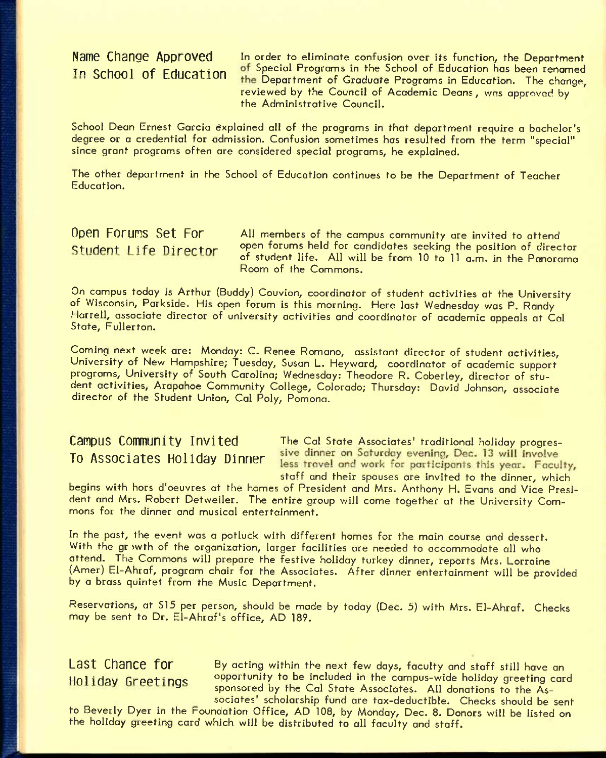Name Change Approved In order to eliminate confusion over its function, the Department In School of Education of Special Programs in the School of Education has been renamed the Department of Graduate Programs in Education. The change, reviewed by the Council of Academic Deans, was approved by the Administrative Council.

School Dean Ernest Garcia explained all of the programs in that department require a bachelor's degree or a credential for admission. Confusion sometimes has resulted from the term "special" since grant programs often are considered special programs, he explained.

The other department in the School of Education continues to be the Department of Teacher Education.

**Open Foruns Set For AII** members of the campus community are invited to attend Student Life Director open forums held for candidates seeking the position of director of student life. All will be from 10 to 11 a.m. in the Panorama Room of the Commons.

On campus today is Arthur (Buddy) Couvion, coordinator of student activities at the University of Wisconsin, Parkside. His open forum is this morning. Here last Wednesday was P. Randy Harrell, associate director of university activities and coordinator of academic appeals at Cal State, Fullerton.

Coming next week are: Monday: C. Renee Romano, assistant director of student activities. University of New Hampshire; Tuesday, Susan L. Heyward, coordinator of academic support programs, University of South Carolina; Wednesday: Theodore R. Coberley, director of student activities, Arapahoe Community College, Colorado; Thursday: David Johnson, associate director of the Student Union, Cal Poly, Pomona.

# TO Associates Holldav Dinner

**Campus Community Invited** The Cal State Associates' traditional holiday progres-<br>To Associates Holiday Binner, <sup>sive</sup> dinner on Saturday evening, Dec. 13 will involve less travel and work for participants this year. Faculty, staff and their spouses are invited to the dinner, which

begins with hors d'oeuvres at the homes of President and Mrs. Anthony H. Evans and Vice President and Mrs. Robert Detweiler. The entire group will come together at the University Commons for the dinner and musical entertainment.

In the past, the event was a potluck with different homes for the main course and dessert. With the gr wth of the organization, larger facilities are needed to accommodate all who attend. The Commons will prepare the festive holiday turkey dinner, reports Mrs. Lorraine (Amer) El-Ahraf, program chair for the Associates. After dinner entertainment will be provided by a brass quintet from the Music Department.

Reservations, at \$15 per person, should be made by today (Dec. 5) with Mrs. El-Ahraf. Checks may be sent to Dr. El-Ahraf's office, AD 189.

Last Chance for By acting within the next few days, faculty and staff still have an Holiday Greetings opportunity to be included in the campus-wide holiday greeting card **YS** sponsored by the Cal State Associates. All donations to the Associates' scholarship fund are tax-deductible. Checks should be sent

to Beverly Dyer in the Foundation Office, AD 108, by Monday, Dec. 8. Donors will be listed on the holiday greeting card which will be distributed to all faculty and staff.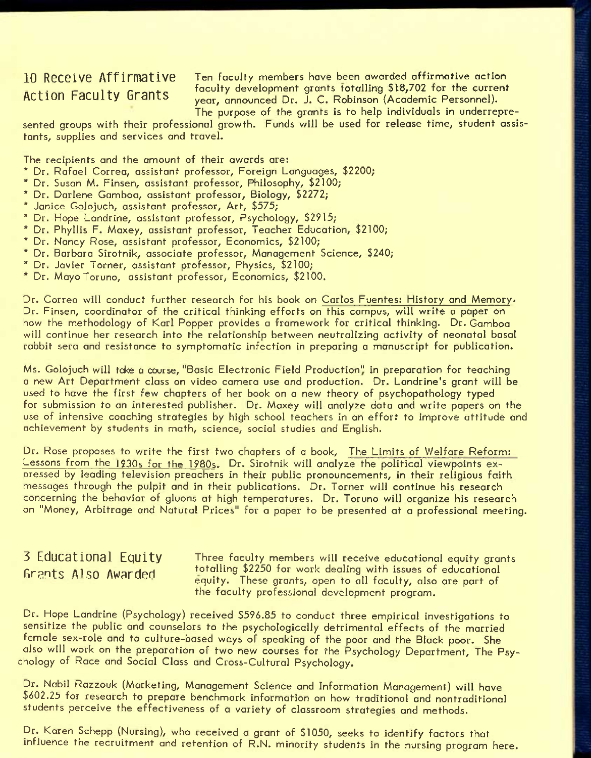**10 Receive Affirmative** Ten faculty members have been awarded affirmative action **Example 20** . The current of the state of the current faculty development grants fotalling \$18,702 for the current year, announced Dr. J. C. Robinson (Academic Personnel). The purpose of the grants is to help individuals in underrepre-

sented groups with their professional growth. Funds will be used for release time, student assistants, supplies and services and travel.

The recipients and the amount of their awards are:

- \* Dr. Rafael Correa, assistant professor. Foreign Languages, \$2200;
- \* Dr. Susan M. Finsen, assistant professor. Philosophy, \$2100;
- \* Dr. Darlene Gamboa, assistant professor. Biology, \$2272;
- \* Janice Golojuch, assistant professor. Art, \$575;
- \* Dr. Hope Landrine, assistant professor. Psychology, \$2915;
- \* Dr. Phyllis F. Maxey, assistant professor. Teacher Education, \$2100;
- \* Dr. Nancy Rose, assistant professor. Economics, \$2100;
- \* Dr. Barbara Sirotnik, associate professor. Management Science, \$240;
- \* Dr. Javier Torner, assistant professor. Physics, \$2100;
- \* Dr. MayoToruno, assistant professor, Economics, \$2100.

Dr. Correa will conduct further research for his book on Carlos Fuentes: History and Memory. Dr. Finsen, coordinator of the critical thinking efforts on this campus, will write a paper on how the methodology of Karl Popper provides a framework for critical thinking. Dr. Gamboa will continue her research into the relationship between neutralizing activity of neonatal basal rabbit sera and resistance to symptomatic infection in preparing a manuscript for publication.

Ms. Golojuch will take a course, "Basic Electronic Field Production" in preparation for teaching a new Art Department class on video camera use and production. Dr. Landrine's grant will be used to have the first few chapters of her book on a new theory of psychopathology typed for submission to an interested publisher. Dr. Maxey will analyze data and write papers on the use of intensive coaching strategies by high school teachers in an effort to improve attitude and achievement by students in math, science, social studies and English.

Dr. Rose proposes to write the first two chapters of a book. The Limits of Welfare Reform: Lessons from the 1930s for the 1980s. Dr. Sirotnik will analyze the political viewpoints expressed by leading television preachers in their public pronouncements, in their religious faith messages through the pulpit and in their publications. Dr. Torner will continue his research concerning the behavior of gluons at high temperatures. Dr. Toruno will organize his research on "Money, Arbitrage and Natural Prices" for a paper to be presented at a professional meeting.

# **3 Educational Equity Grants Also Awarded**

Three faculty members will receive educational equity grants totalling \$2250 for work dealing with issues of educational equity. These grants, open to all faculty, also are part of the faculty professional development program.

Dr. Hope Landrine (Psychology) received \$596.85 to conduct three empirical investigations to sensitize the public and counselors to the psychologically detrimental effects of the married female sex-role and to culture-based ways of speaking of the poor and the Black poor. She also will work on the preparation of two new courses for the Psychology Department, The Psychology of Race and Social Class and Cross-Cultural Psychology.

Dr. Nabil Razzouk (Marketing, Management Science and Information Management) will have \$602.25 for research to prepare benchmark information on how traditional and nontraditional students perceive the effectiveness of a variety of classroom strategies and methods.

Dr. Karen Schepp (Nursing), who received a grant of \$1050, seeks to identify factors that influence the recruitment and retention of R.N. minority students in the nursing program here.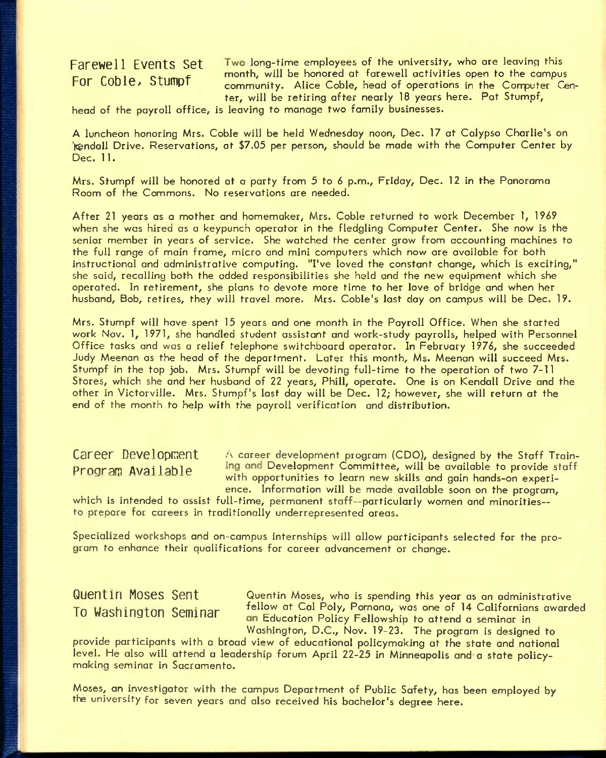**Farewell Events Set Two long-time employees of the university, who are leaving this** calculating the corresponding to the month, will be honored at farewell activities open to the campus Formulating Capacity community will be community of the community contract of the community contract of the community co community. Alice Coble, head of operations in the Computer Center, will be retiring after nearly 18 years here. Pat Stumpf,

head of the payroll office, is leaving to manage two family businesses.

A luncheon honoring Mrs. Coble will be held Wednesday noon, Dec. 17 at Calypso Charlie's on "Kendall Drive. Reservations, at \$7.05 per person, should be made with the Computer Center by Dec. 11.

Mrs. Stumpf will be honored at a party from 5 to 6 p.m., Friday, Dec. 12 in the Panorama Room of the Commons. No reservations are needed.

After 21 years as a mother and homemaker, Mrs. Coble returned to work December 1, 1969 when she was hired as a keypunch operator in the fledgling Computer Center. She now is the senior member in years of service. She watched the center grow from accounting machines to the full range of main frame, micro and mini computers which now are available for both instructional and administrative computing. "I've loved the constant change, which is exciting," she said, recalling both the added responsibilities she held and the new equipment which she operated. In retirement, she plans to devote more time to her love of bridge and when her husband. Bob, retires, they will travel more. Mrs. Coble's last day on campus will be Dec. 19.

Mrs. Stumpf will have spent 15 years and one month in the Payroll Office. When she started work Nov. 1, 1971, she handled student assistant and work-study payrolls, helped with Personnel Office tasks and was a relief telephone switchboard operator. In February 1976, she succeeded Judy Meenan as the head of the department. Later this month, Ms. Meenan will succeed Mrs. Stumpf in the top job. Mrs. Stumpf will be devoting full-time to the operation of two 7-11 Stores, which she and her husband of 22 years, Phill, operate. One is on Kendall Drive and the other in Victorville. Mrs. Stumpf's last day will be Dec. 12; however, she will return at the end of the month to help with the payroll verification and distribution.

Career Development A career development program (CDO), designed by the Staff Train-Program Available ing and Development Committee, will be available to provide staff with opportunities to learn new skills and gain hands-on experience. Information will be made available soon on the program,

which is intended to assist full-time, permanent staff—particularly women and minorities to prepare for careers in traditionally underrepresented areas.

Specialized workshops and on-campus internships will allow participants selected for the program to enhance their qualifications for career advancement or change.

Quentin Moses Sent Guentin Moses, who is spending this year as an administrative To Washington Seminar fellow at Cal Poly, Pomona, was one of 14 Californians awarded **10 Wdsningion bGminar** Education Policy Fellowship to attend a seminar in Washington, D.C., Nov. 19-23. The program is designed to

provide participants with a broad view of educational policymaking at the state and national level. He also will attend a leadership forum April 22-25 in Minneapolis and a state policymaking seminar in Sacramento.

Moses, an investigator with the campus Department of Public Safety, has been employed by the university for seven years and also received his bachelor's degree here.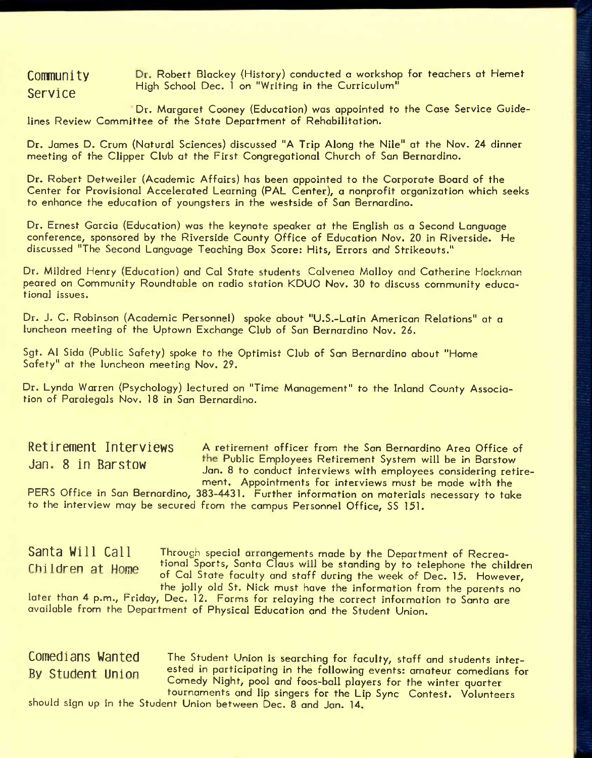**Service ^** 

**COMMUNITY Dr.** Robert Blackey (History) conducted a workshop for teachers at Hemet High School Dec. 1 on "Writing in the Curriculum"

Dr. Margaret Cooney (Education) was appointed to the Case Service Guidelines Review Committee of the State Department of Rehabilitation.

Dr. James D. Crum (Natural Sciences) discussed "A Trip Along the Nile" at the Nov. 24 dinner meeting of the Clipper Club at the First Congregational Church of San Bernardino.

Dr. Robert Detweiler (Academic Affairs) has been appointed to the Corporate Board of the Center for Provisional Accelerated Learning (PAL Center), a nonprofit organization which seeks to enhance the education of youngsters in the westside of San Bernardino.

Dr. Ernest Garcia (Education) was the keynote speaker at the English as a Second Language conference, sponsored by the Riverside County Office of Education Nov. 20 in Riverside. He discussed "The Second Language Teaching Box Score: Hits, Errors and Strikeouts."

Dr. Mildred Henry (Education) and Cal State students Colvenea Malloy and Catherine Hockman peared on Community Roundtable on radio station KDUO Nov. 30 to discuss community educa-.<br>tional issues.

Dr. J. C. Robinson (Academic Personnel) spoke about "U.S.-Latin American Relations" at a luncheon meeting of the Uptown Exchange Club of San Bernardino Nov. *26.* 

Sgt. A1 Sida (Public Safety) spoke to the Optimist Club of San Bernardino about "Home Safety" at the luncheon meeting Nov. 29.

Dr. Lynda Warren (Psychology) lectured on "Time Management" to the Inland County Association of Paralegals Nov. 18 in San Bernardino.

**RotirGinent Interviews A** retirement officer from the San Bernardino Area Office of Jan 8 in Barstow **the Public Employees Retirement System will be in Barstow** Jan. 8 to conduct interviews with employees considering retirement. Appointments for interviews must be made with the

PERS Office in San Bernardino, 383-4431. Further information on materials necessary to take to the interview may be secured from the campus Personnel Office, SS 151.

Santa Will Call Through special arrangements made by the Department of Recrea-Chi I dren at Home tional Sports, Santa Claus will be standing by to telephone the children of Cal State faculty and staff during the week of Dec. 15. However, the jolly old St. Nick must have the information from the parents no

later than 4 p.m., Friday, Dec. 12. Forms for relaying the correct information to Santa are available from the Department of Physical Education and the Student Union.

Comedians Wanted The Student Union is searching for faculty, staff and students inter-Ry Student Union ested in participating in the following events: amateur comedians for Comedy Night, pool and foos-ball players for the winter quarter tournaments and lip singers for the Lip Sync Contest. Volunteers

should sign up in the Student Union between Dec. 8 and Jan. 14.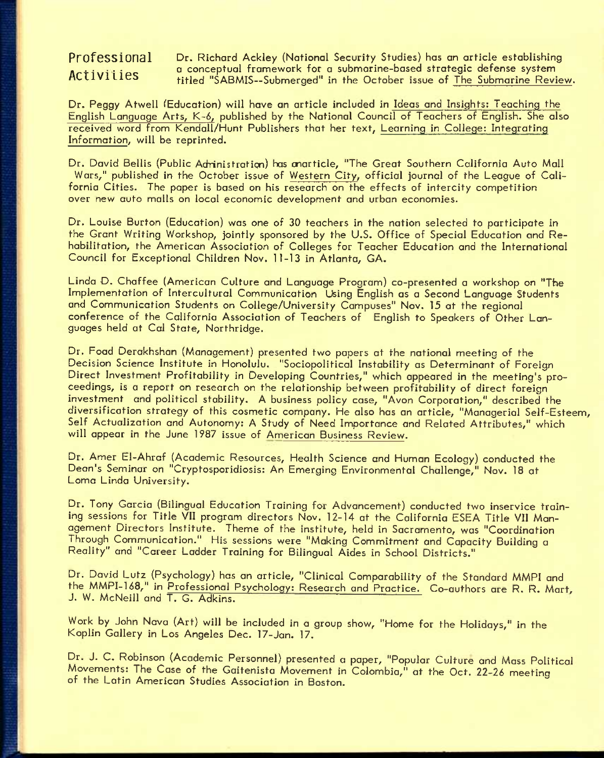Professional Dr. Richard Ackley (National Security Studies) has an article establishing<br>Activities a conceptual framework for a submarine-based strategic defense system ACTIVILIES a conceptual framework for a submarine-based strategic defense system<br>ACTIVILIES titled "SABMIS--Submerged" in the October issue of The Submarine Review.

Dr. Peggy Atwell ^Education) will have an article included in Ideas and Insights; Teaching the English Language Arts, *K~6,* published by the National Council of Teachers of English, She also received word from Kendall/Hunt Publishers that her text, Learning in College; Integrating Information, will be reprinted.

Dr. David Bellis (Public Adrinistratign) has cnarticle, "The Great Southern California Auto Mall Wars," published in the October issue of Western City, official journal of the League of California Cities. The paper is based on his research on the effects of intercity competition over new auto malls on local economic development and urban economies.

Dr. Louise Burton (Education) was one of 30 teachers in the nation selected to participate in the Grant Writing Workshop, jointly sponsored by the U.S. Office of Special Education and Rehabilitation, the American Association of Colleges for Teacher Education and the International Council for Exceptional Children Nov. 11-13 in Atlanta, GA.

Linda D. Chaffee (American Culture and Language Program) co-presented a workshop on "Tbe Implementation of Intercultural Communication Using English as a Second Language Students and Communication Students on College/University Campuses" Nov. 15 at the regional conference of the California Association of Teachers of English to Speakers of Other Languages held at Cal State, Northridge.

Dr. Food Derakhshan (Management) presented two papers at the national meeting of the Decision Science Institute in Honolulu. "Sociopolitical Instability as Determinant of Foreign Direct Investment Profitability in Developing Countries," which appeared in the meeting's proceedings, is a report on research on the relationship between profitability of direct foreign investment and political stability. A business policy case, "Avon Corporation," described the diversification strategy of this cosmetic company. He also has an article, "Managerial Self-Esteem, Self Actualization and Autonomy: A Study of Need Importance and Related Attributes," which will appear in the June 1987 issue of American Business Review.

Dr. Amer El-Ahraf (Academic Resources, Health Science and Human Ecology) conducted the Dean's Seminar on "Cryptosporidiosis: An Emerging Environmental Challenge," Nov. 18 at Loma Linda University.

Dr. Tony Garcia (Bilingual Education Training for Advancement) conducted two inservice training sessions for Title VII program directors Nov. 12-14 at the California ESEA Title VII Management Directors Institute. Theme of the institute, held in Sacramento, was "Coordination Through Communication." His sessions were "Making Commitment and Capacity Building a Reality" and "Career Ladder Training for Bilingual Aides in School Districts."

Dr. David Lutz (Psychology) has an article, "Clinical Comparability of the Standard MMPI and the MMPI-168," in Professional Psychology: Research and Practice. Co-authors are R. R. Mart, J. W. McNeill and T. G. Adkins.

Work by John Nava (Art) will be included in a group show, "Home for the Holidays," in the Koplin Gallery in Los Angeles Dec. 17-Jan. 17.

Dr. J. C. Robinson (Academic Personnel) presented a paper, "Popular Culture and Mass Political Movements: The Case of the Gaitenista Movement in Colombia," at the Oct. 22-26 meeting of the Latin American Studies Association in Boston.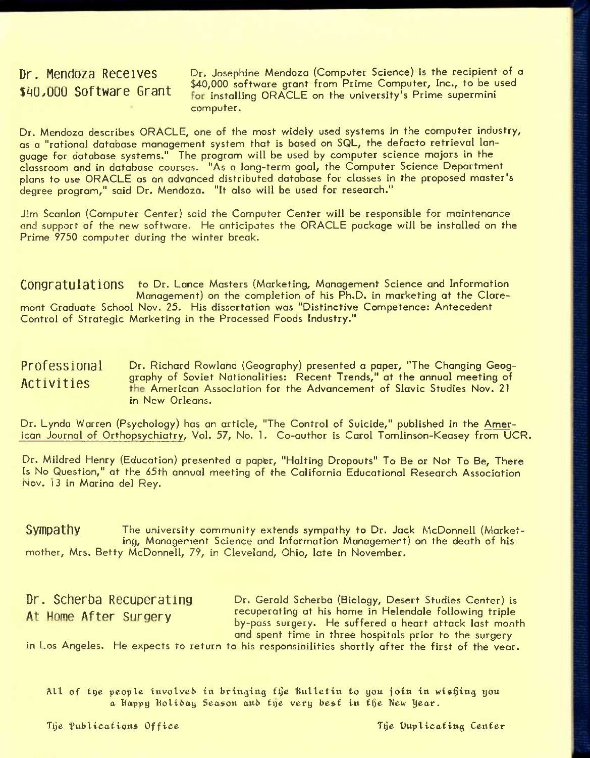Dr. Mendoza Receives **Dr. Josephine Mendoza (Computer Science)** is the recipient of a  $\frac{1}{2}$ . Hendeza  $\frac{1}{2}$   $\frac{1}{2}$   $\frac{1}{2}$   $\frac{1}{2}$   $\frac{1}{2}$   $\frac{1}{2}$   $\frac{1}{2}$   $\frac{1}{2}$   $\frac{1}{2}$   $\frac{1}{2}$   $\frac{1}{2}$   $\frac{1}{2}$   $\frac{1}{2}$   $\frac{1}{2}$   $\frac{1}{2}$   $\frac{1}{2}$   $\frac{1}{2}$   $\frac{1}{2}$   $\frac{1}{2}$   $\frac{1}{2}$   $\$ for installing ORACLE on the university's Prime supermini computer.

Dr. Mendoza describes ORACLE, one of the most widely used systems in the computer industry, as a "rational database management system that is based on SQL, the defocto retrieval language for database systems." The program will be used by computer science majors in the classroom and in database courses. "As a long-term goal, the Computer Science Department plans to use ORACLE as an advanced distributed database for classes in the proposed master's degree program," said Dr. Mendoza. "It also will be used for research."

Jim Scanlon (Computer Center) said the Computer Center will be responsible for maintenance and support of the new software. He anticipates the ORACLE package will be installed on the Prime 9750 computer during the winter break.

CONGRATULATIONS to Dr. Lance Masters (Marketing, Management Science and Information Management) on the completion of his Ph.D. in marketing at the Claremont Graduate School Nov. 25. His dissertation was "Distinctive Competence: Antecedent Control of Strategic Marketing in the Processed Foods Industry."

P<code>rofession</code>al Dr. Richard Rowland (Geography) presented a paper, "The Changing Geog-Activities of graphy of Soviet Nationalities: Recent Trends," at the annual meeting of ACLIVILLES **The American Association for the Advancement of Slavic Studies Nov. 21** in New Orleans.

Dr. Lynda Warren (Psychology) has an article, "The Control of Suicide," published in the American Journal of Orthopsychiatry, Vol. 57, No. 1. Co-author is Carol Tomlinson-Keasey from UCR.

Dr. Mildred Henry (Education) presented a paper, "Halting Dropouts" To Be or Not To Be, There Is No Question," at the 65th annual meeting of the California Educational Research Association Nov. 13 in Marina del Rey.

**Sympathy** The university community extends sympathy to Dr. Jack McDonnell (Marketing, Management Science and Information Management) on the death of his mother, Mrs. Betty McDonnell, 79, in Cleveland, Ohio, late in November.

**Dr. Scherba Recuperating Dr. Gerald Scherba (Biology, Desert Studies Center) is** At Home After Quragry recuperating at his home in Helendale following triple erating Dr. Gerald Scherba (Biology, Desert Studies Center) is<br>
gery by-pass surgery. He suffered a heart attack last month<br>
and spent time in three bespitels prior to the surgery. and spent time in three hospitals prior to the surgery

in Los Angeles. He expects to return to his responsibilities shortly after the first of the vear.

All of the people involved in bringing the Bulletin to you join in wishing you a Happy Holibay Season and the very best in the New Year.

The Publications Office The The Duplicating Center